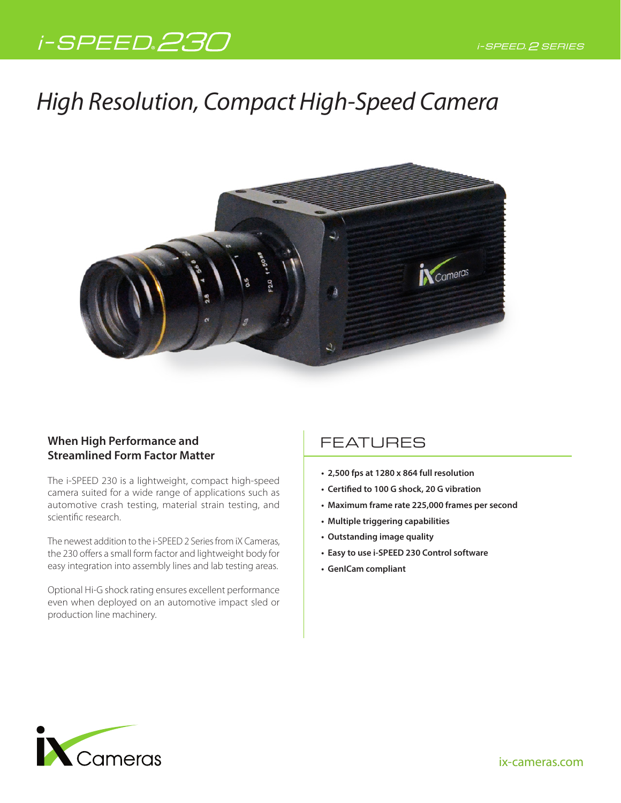# *High Resolution, Compact High-Speed Camera*



### **When High Performance and Streamlined Form Factor Matter**

The i-SPEED 230 is a lightweight, compact high-speed camera suited for a wide range of applications such as automotive crash testing, material strain testing, and scientific research.

The newest addition to the i-SPEED 2 Series from iX Cameras, the 230 offers a small form factor and lightweight body for easy integration into assembly lines and lab testing areas.

Optional Hi-G shock rating ensures excellent performance even when deployed on an automotive impact sled or production line machinery.

## FEATURES

- **2,500 fps at 1280 x 864 full resolution**
- **Certified to 100 G shock, 20 G vibration**
- **Maximum frame rate 225,000 frames per second**
- **Multiple triggering capabilities**
- **Outstanding image quality**
- **Easy to use i-SPEED 230 Control software**
- **GenICam compliant**